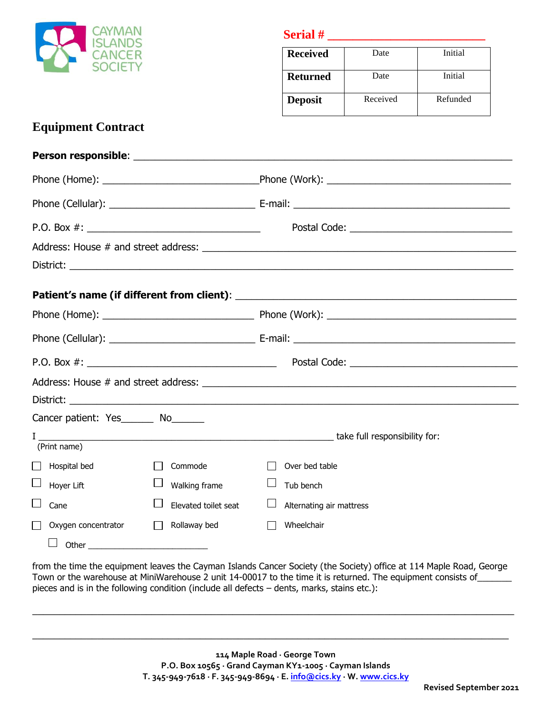

**Serial** #

| <b>Received</b> | Date     | Initial  |
|-----------------|----------|----------|
| <b>Returned</b> | Date     | Initial  |
| <b>Deposit</b>  | Received | Refunded |

## **Equipment Contract**

| Cancer patient: Yes_______ No______ |                      |                          |  |  |  |
|-------------------------------------|----------------------|--------------------------|--|--|--|
| (Print name)                        |                      |                          |  |  |  |
| Hospital bed<br>$\mathsf{I}$        | Commode              | Over bed table           |  |  |  |
| Hoyer Lift                          | Walking frame        | Tub bench                |  |  |  |
| I.<br>Cane                          | Elevated toilet seat | Alternating air mattress |  |  |  |
| Oxygen concentrator                 | Rollaway bed         | Wheelchair               |  |  |  |
| ⊔<br>Other                          |                      |                          |  |  |  |

from the time the equipment leaves the Cayman Islands Cancer Society (the Society) office at 114 Maple Road, George Town or the warehouse at MiniWarehouse 2 unit 14-00017 to the time it is returned. The equipment consists of pieces and is in the following condition (include all defects – dents, marks, stains etc.):

 $\_$  , and the set of the set of the set of the set of the set of the set of the set of the set of the set of the set of the set of the set of the set of the set of the set of the set of the set of the set of the set of th

 $\_$  , and the set of the set of the set of the set of the set of the set of the set of the set of the set of the set of the set of the set of the set of the set of the set of the set of the set of the set of the set of th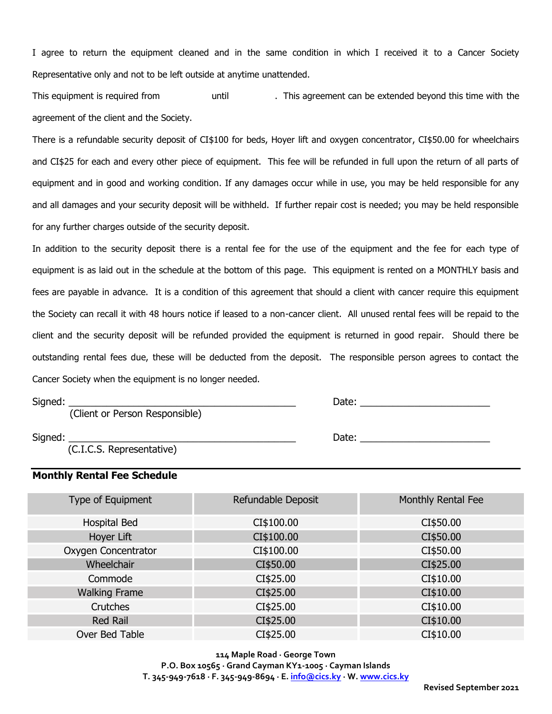I agree to return the equipment cleaned and in the same condition in which I received it to a Cancer Society Representative only and not to be left outside at anytime unattended.

This equipment is required from equitime and the until the resolution of the extended beyond this time with the agreement of the client and the Society.

There is a refundable security deposit of CI\$100 for beds, Hoyer lift and oxygen concentrator, CI\$50.00 for wheelchairs and CI\$25 for each and every other piece of equipment. This fee will be refunded in full upon the return of all parts of equipment and in good and working condition. If any damages occur while in use, you may be held responsible for any and all damages and your security deposit will be withheld. If further repair cost is needed; you may be held responsible for any further charges outside of the security deposit.

In addition to the security deposit there is a rental fee for the use of the equipment and the fee for each type of equipment is as laid out in the schedule at the bottom of this page. This equipment is rented on a MONTHLY basis and fees are payable in advance. It is a condition of this agreement that should a client with cancer require this equipment the Society can recall it with 48 hours notice if leased to a non-cancer client. All unused rental fees will be repaid to the client and the security deposit will be refunded provided the equipment is returned in good repair. Should there be outstanding rental fees due, these will be deducted from the deposit. The responsible person agrees to contact the Cancer Society when the equipment is no longer needed.

| Signed: |  |
|---------|--|

(Client or Person Responsible)

Date:  $\Box$ 

 $S$ igned:  $\Box$ 

(C.I.C.S. Representative)

## **Monthly Rental Fee Schedule**

| Type of Equipment    | Refundable Deposit | Monthly Rental Fee |
|----------------------|--------------------|--------------------|
| Hospital Bed         | CI\$100.00         | CI\$50.00          |
| Hoyer Lift           | CI\$100.00         | CI\$50.00          |
| Oxygen Concentrator  | CI\$100.00         | CI\$50.00          |
| Wheelchair           | CI\$50.00          | CI\$25.00          |
| Commode              | CI\$25.00          | CI\$10.00          |
| <b>Walking Frame</b> | CI\$25.00          | CI\$10.00          |
| Crutches             | CI\$25.00          | CI\$10.00          |
| <b>Red Rail</b>      | CI\$25.00          | CI\$10.00          |
| Over Bed Table       | CI\$25.00          | CI\$10.00          |

**114 Maple Road · George Town P.O. Box 10565 · Grand Cayman KY1-1005 · Cayman Islands T. 345-949-7618 · F. 345-949-8694 · E[. info@cics.ky](mailto:info@cics.ky) · W[. www.cics.ky](http://www.cics.ky/)**